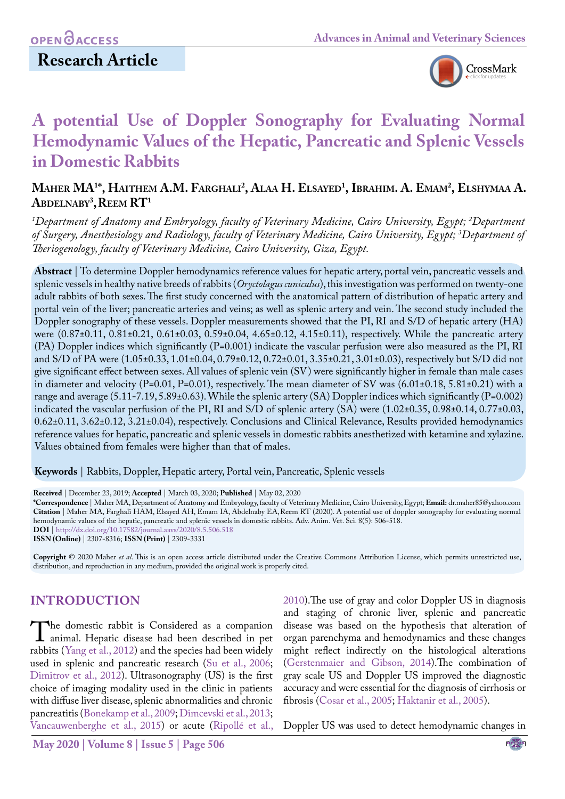

# **A potential Use of Doppler Sonography for Evaluating Normal Hemodynamic Values of the Hepatic, Pancreatic and Splenic Vessels in Domestic Rabbits**

# **Maher MA1 \*, Haithem A.M. Farghali2 , Alaa H. Elsayed1 , Ibrahim. A. Emam2 , Elshymaa A.**   $\mathbf{A}\mathbf{B}\mathbf{D}\mathbf{E}\mathbf{L}\mathbf{N}\mathbf{A}\mathbf{B}\mathbf{Y}^3$ ,  $\mathbf{R}\mathbf{E}\mathbf{E}\mathbf{M}$   $\mathbf{R}\mathbf{T}^1$

*1 Department of Anatomy and Embryology, faculty of Veterinary Medicine, Cairo University, Egypt; 2 Department of Surgery, Anesthesiology and Radiology, faculty of Veterinary Medicine, Cairo University, Egypt; 3 Department of Theriogenology, faculty of Veterinary Medicine, Cairo University, Giza, Egypt.*

**Abstract** | To determine Doppler hemodynamics reference values for hepatic artery, portal vein, pancreatic vessels and splenic vessels in healthy native breeds of rabbits (*Oryctolagus cuniculus*), this investigation was performed on twenty-one adult rabbits of both sexes. The first study concerned with the anatomical pattern of distribution of hepatic artery and portal vein of the liver; pancreatic arteries and veins; as well as splenic artery and vein. The second study included the Doppler sonography of these vessels. Doppler measurements showed that the PI, RI and S/D of hepatic artery (HA) were (0.87±0.11, 0.81±0.21, 0.61±0.03, 0.59±0.04, 4.65±0.12, 4.15±0.11), respectively. While the pancreatic artery (PA) Doppler indices which significantly (P=0.001) indicate the vascular perfusion were also measured as the PI, RI and S/D of PA were (1.05±0.33, 1.01±0.04, 0.79±0.12, 0.72±0.01, 3.35±0.21, 3.01±0.03), respectively but S/D did not give significant effect between sexes. All values of splenic vein (SV) were significantly higher in female than male cases in diameter and velocity (P=0.01, P=0.01), respectively. The mean diameter of SV was (6.01±0.18, 5.81±0.21) with a range and average (5.11-7.19, 5.89±0.63). While the splenic artery (SA) Doppler indices which significantly (P=0.002) indicated the vascular perfusion of the PI, RI and S/D of splenic artery (SA) were (1.02±0.35, 0.98±0.14, 0.77±0.03, 0.62±0.11, 3.62±0.12, 3.21±0.04), respectively. Conclusions and Clinical Relevance, Results provided hemodynamics reference values for hepatic, pancreatic and splenic vessels in domestic rabbits anesthetized with ketamine and xylazine. Values obtained from females were higher than that of males.

**Keywords** | Rabbits, Doppler, Hepatic artery, Portal vein, Pancreatic, Splenic vessels

**Received** | December 23, 2019; **Accepted** | March 03, 2020; **Published** | May 02, 2020

**\*Correspondence** | Maher MA, Department of Anatomy and Embryology, faculty of Veterinary Medicine, Cairo University, Egypt; **Email:** dr.maher85@yahoo.com **Citation** | Maher MA, Farghali HAM, Elsayed AH, Emam IA, Abdelnaby EA,Reem RT (2020). A potential use of doppler sonography for evaluating normal hemodynamic values of the hepatic, pancreatic and splenic vessels in domestic rabbits. Adv. Anim. Vet. Sci. 8(5): 506-518. **DOI** |<http://dx.doi.org/10.17582/journal.aavs/2020/8.5.506.518>

**ISSN (Online)** | 2307-8316; **ISSN (Print)** | 2309-3331

**Copyright** © 2020 Maher *et al*. This is an open access article distributed under the Creative Commons Attribution License, which permits unrestricted use, distribution, and reproduction in any medium, provided the original work is properly cited.

### **INTRODUCTION**

The domestic rabbit is Considered as a companion<br>animal. Hepatic disease had been described in pet<br>rabbits (Yang et al. 2012) and the species had been widely rabbits (Yang et al., 2012) and the species had been widely used in splenic and pancreatic research (Su et al., 2006; [Dimitrov et al., 2012\)](#page-10-0). Ultrasonography (US) is the first choice of imaging modality used in the clinic in patients with diffuse liver disease, splenic abnormalities and chronic pancreatitis [\(Bonekamp et al., 2009;](#page-10-1) Dimcevski et al., 2013; [Vancauwenberghe et al., 2015\)](#page-11-0) or acute (Ripollé et al.,

2010).The use of gray and color Doppler US in diagnosis and staging of chronic liver, splenic and pancreatic disease was based on the hypothesis that alteration of organ parenchyma and hemodynamics and these changes might reflect indirectly on the histological alterations [\(Gerstenmaier and Gibson, 2014](#page-10-2)).The combination of gray scale US and Doppler US improved the diagnostic accuracy and were essential for the diagnosis of cirrhosis or fibrosis (Cosar et al., 2005; [Haktanir et al., 2005\)](#page-10-3).

Doppler US was used to detect hemodynamic changes in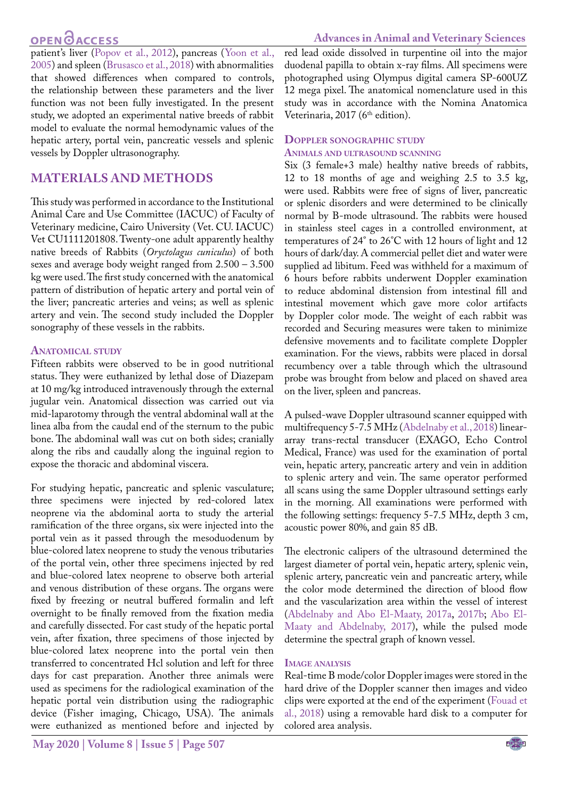patient's liver (Popov et al., 2012), pancreas ([Yoon et al.,](#page-12-0) [2005](#page-12-0)) and spleen (Brusasco et al., 2018) with abnormalities that showed differences when compared to controls, the relationship between these parameters and the liver function was not been fully investigated. In the present study, we adopted an experimental native breeds of rabbit model to evaluate the normal hemodynamic values of the hepatic artery, portal vein, pancreatic vessels and splenic vessels by Doppler ultrasonography.

### **MATERIALS AND METHODS**

This study was performed in accordance to the Institutional Animal Care and Use Committee (IACUC) of Faculty of Veterinary medicine, Cairo University (Vet. CU. IACUC) Vet CU1111201808. Twenty-one adult apparently healthy native breeds of Rabbits (*Oryctolagus cuniculus*) of both sexes and average body weight ranged from 2.500 – 3.500 kg were used. The first study concerned with the anatomical pattern of distribution of hepatic artery and portal vein of the liver; pancreatic arteries and veins; as well as splenic artery and vein. The second study included the Doppler sonography of these vessels in the rabbits.

### **Anatomical study**

Fifteen rabbits were observed to be in good nutritional status. They were euthanized by lethal dose of Diazepam at 10 mg/kg introduced intravenously through the external jugular vein. Anatomical dissection was carried out via mid-laparotomy through the ventral abdominal wall at the linea alba from the caudal end of the sternum to the pubic bone. The abdominal wall was cut on both sides; cranially along the ribs and caudally along the inguinal region to expose the thoracic and abdominal viscera.

For studying hepatic, pancreatic and splenic vasculature; three specimens were injected by red-colored latex neoprene via the abdominal aorta to study the arterial ramification of the three organs, six were injected into the portal vein as it passed through the mesoduodenum by blue-colored latex neoprene to study the venous tributaries of the portal vein, other three specimens injected by red and blue-colored latex neoprene to observe both arterial and venous distribution of these organs. The organs were fixed by freezing or neutral buffered formalin and left overnight to be finally removed from the fixation media and carefully dissected. For cast study of the hepatic portal vein, after fixation, three specimens of those injected by blue-colored latex neoprene into the portal vein then transferred to concentrated Hcl solution and left for three days for cast preparation. Another three animals were used as specimens for the radiological examination of the hepatic portal vein distribution using the radiographic device (Fisher imaging, Chicago, USA). The animals were euthanized as mentioned before and injected by

red lead oxide dissolved in turpentine oil into the major duodenal papilla to obtain x-ray films. All specimens were photographed using Olympus digital camera SP-600UZ 12 mega pixel. The anatomical nomenclature used in this study was in accordance with the Nomina Anatomica Veterinaria, 2017 (6<sup>th</sup> edition).

#### **Doppler sonographic study Animals and ultrasound scanning**

Six (3 female+3 male) healthy native breeds of rabbits, 12 to 18 months of age and weighing 2.5 to 3.5 kg, were used. Rabbits were free of signs of liver, pancreatic or splenic disorders and were determined to be clinically normal by B-mode ultrasound. The rabbits were housed in stainless steel cages in a controlled environment, at temperatures of 24° to 26°C with 12 hours of light and 12 hours of dark/day. A commercial pellet diet and water were supplied ad libitum. Feed was withheld for a maximum of 6 hours before rabbits underwent Doppler examination to reduce abdominal distension from intestinal fill and intestinal movement which gave more color artifacts by Doppler color mode. The weight of each rabbit was recorded and Securing measures were taken to minimize defensive movements and to facilitate complete Doppler examination. For the views, rabbits were placed in dorsal recumbency over a table through which the ultrasound probe was brought from below and placed on shaved area on the liver, spleen and pancreas.

A pulsed-wave Doppler ultrasound scanner equipped with multifrequency 5-7.5 MHz ([Abdelnaby et al., 2018\)](#page-9-0) lineararray trans-rectal transducer (EXAGO, Echo Control Medical, France) was used for the examination of portal vein, hepatic artery, pancreatic artery and vein in addition to splenic artery and vein. The same operator performed all scans using the same Doppler ultrasound settings early in the morning. All examinations were performed with the following settings: frequency 5-7.5 MHz, depth 3 cm, acoustic power 80%, and gain 85 dB.

The electronic calipers of the ultrasound determined the largest diameter of portal vein, hepatic artery, splenic vein, splenic artery, pancreatic vein and pancreatic artery, while the color mode determined the direction of blood flow and the vascularization area within the vessel of interest [\(Abdelnaby and Abo El-Maaty, 2017a](#page-9-1), [2017b](#page-9-2); [Abo El-](#page-10-4)[Maaty and Abdelnaby, 2017](#page-10-4)), while the pulsed mode determine the spectral graph of known vessel.

#### **Image analysis**

Real-time B mode/color Doppler images were stored in the hard drive of the Doppler scanner then images and video clips were exported at the end of the experiment [\(Fouad et](#page-10-5)  [al., 2018\)](#page-10-5) using a removable hard disk to a computer for colored area analysis.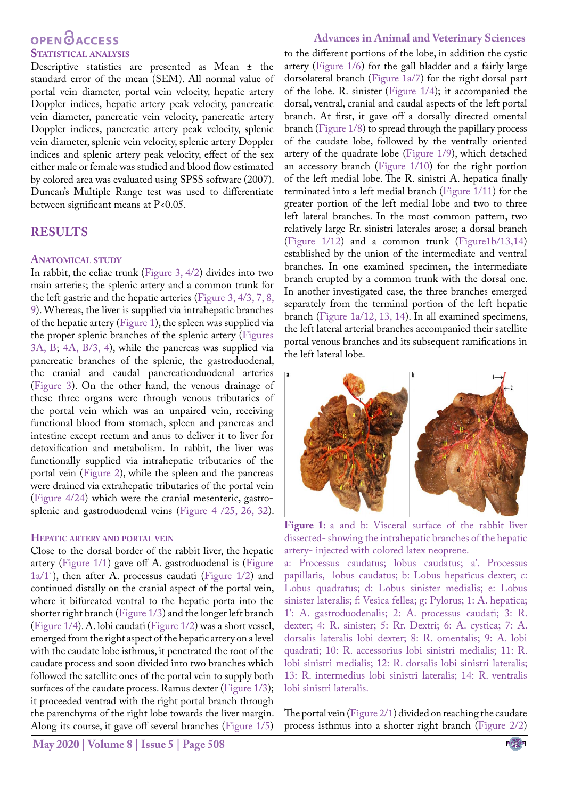# **OPEN GACCESS**

#### **Statistical analysis**

Descriptive statistics are presented as Mean ± the standard error of the mean (SEM). All normal value of portal vein diameter, portal vein velocity, hepatic artery Doppler indices, hepatic artery peak velocity, pancreatic vein diameter, pancreatic vein velocity, pancreatic artery Doppler indices, pancreatic artery peak velocity, splenic vein diameter, splenic vein velocity, splenic artery Doppler indices and splenic artery peak velocity, effect of the sex either male or female was studied and blood flow estimated by colored area was evaluated using SPSS software (2007). Duncan's Multiple Range test was used to differentiate between significant means at P<0.05.

#### **RESULTS**

#### **Anatomical study**

In rabbit, the celiac trunk [\(Figure 3, 4/2](#page-4-0)) divides into two main arteries; the splenic artery and a common trunk for the left gastric and the hepatic arteries [\(Figure 3, 4/3, 7, 8,](#page-4-0) [9\)](#page-4-0). Whereas, the liver is supplied via intrahepatic branches of the hepatic artery [\(Figure 1](#page-2-0)), the spleen was supplied via the proper splenic branches of the splenic artery [\(Figures](#page-4-0) [3A, B;](#page-4-0) [4A, B/3, 4](#page-4-1)), while the pancreas was supplied via pancreatic branches of the splenic, the gastroduodenal, the cranial and caudal pancreaticoduodenal arteries ([Figure 3](#page-4-0)). On the other hand, the venous drainage of these three organs were through venous tributaries of the portal vein which was an unpaired vein, receiving functional blood from stomach, spleen and pancreas and intestine except rectum and anus to deliver it to liver for detoxification and metabolism. In rabbit, the liver was functionally supplied via intrahepatic tributaries of the portal vein ([Figure 2](#page-3-0)), while the spleen and the pancreas were drained via extrahepatic tributaries of the portal vein ([Figure 4/24](#page-4-1)) which were the cranial mesenteric, gastrosplenic and gastroduodenal veins ([Figure 4 /25, 26, 32\)](#page-4-1).

#### **Hepatic artery and portal vein**

Close to the dorsal border of the rabbit liver, the hepatic artery ([Figure 1/1](#page-2-0)) gave off A. gastroduodenal is [\(Figure](#page-2-0)  $1a/1$ `), then after A. processus caudati (Figure  $1/2$ ) and continued distally on the cranial aspect of the portal vein, where it bifurcated ventral to the hepatic porta into the shorter right branch [\(Figure 1/3](#page-2-0)) and the longer left branch ([Figure 1/4](#page-2-0)). A. lobi caudati ([Figure 1/2](#page-2-0)) was a short vessel, emerged from the right aspect of the hepatic artery on a level with the caudate lobe isthmus, it penetrated the root of the caudate process and soon divided into two branches which followed the satellite ones of the portal vein to supply both surfaces of the caudate process. Ramus dexter ([Figure 1/3](#page-2-0)); it proceeded ventrad with the right portal branch through the parenchyma of the right lobe towards the liver margin. Along its course, it gave off several branches [\(Figure 1/5\)](#page-2-0)

#### **Advances in Animal and Veterinary Sciences**

to the different portions of the lobe, in addition the cystic artery ([Figure 1/6\)](#page-2-0) for the gall bladder and a fairly large dorsolateral branch ([Figure 1a/7](#page-2-0)) for the right dorsal part of the lobe. R. sinister ([Figure 1/4\)](#page-2-0); it accompanied the dorsal, ventral, cranial and caudal aspects of the left portal branch. At first, it gave off a dorsally directed omental branch ([Figure 1/8\)](#page-2-0) to spread through the papillary process of the caudate lobe, followed by the ventrally oriented artery of the quadrate lobe [\(Figure 1/9\)](#page-2-0), which detached an accessory branch ([Figure 1/10](#page-2-0)) for the right portion of the left medial lobe. The R. sinistri A. hepatica finally terminated into a left medial branch ([Figure 1/11](#page-2-0)) for the greater portion of the left medial lobe and two to three left lateral branches. In the most common pattern, two relatively large Rr. sinistri laterales arose; a dorsal branch [\(Figure 1/12](#page-2-0)) and a common trunk [\(Figure1b/13,14\)](#page-2-0) established by the union of the intermediate and ventral branches. In one examined specimen, the intermediate branch erupted by a common trunk with the dorsal one. In another investigated case, the three branches emerged separately from the terminal portion of the left hepatic branch ([Figure 1a/12, 13, 14](#page-2-0)). In all examined specimens, the left lateral arterial branches accompanied their satellite portal venous branches and its subsequent ramifications in the left lateral lobe.



Figure 1: a and b: Visceral surface of the rabbit liver dissected- showing the intrahepatic branches of the hepatic artery- injected with colored latex neoprene.

<span id="page-2-0"></span>a: Processus caudatus; lobus caudatus; a'. Processus papillaris, lobus caudatus; b: Lobus hepaticus dexter; c: Lobus quadratus; d: Lobus sinister medialis; e: Lobus sinister lateralis; f: Vesica fellea; g: Pylorus; 1: A. hepatica; 1': A. gastroduodenalis; 2: A. processus caudati; 3: R. dexter; 4: R. sinister; 5: Rr. Dextri; 6: A. cystica; 7: A. dorsalis lateralis lobi dexter; 8: R. omentalis; 9: A. lobi quadrati; 10: R. accessorius lobi sinistri medialis; 11: R. lobi sinistri medialis; 12: R. dorsalis lobi sinistri lateralis; 13: R. intermedius lobi sinistri lateralis; 14: R. ventralis lobi sinistri lateralis.

The portal vein [\(Figure 2/1\)](#page-3-0) divided on reaching the caudate process isthmus into a shorter right branch [\(Figure 2/2\)](#page-3-0)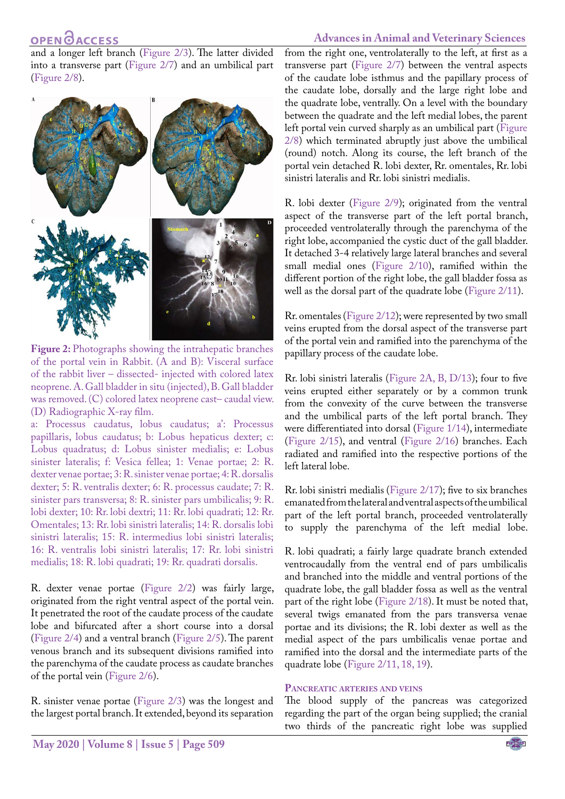#### **Advances in Animal and Veterinary Sciences**

and a longer left branch ([Figure 2/3\)](#page-3-0). The latter divided into a transverse part ([Figure 2/7](#page-3-0)) and an umbilical part [\(Figure 2/8\)](#page-3-0).



<span id="page-3-0"></span>**Figure 2:** Photographs showing the intrahepatic branches of the portal vein in Rabbit. (A and B): Visceral surface of the rabbit liver – dissected- injected with colored latex neoprene. A. Gall bladder in situ (injected), B. Gall bladder was removed. (C) colored latex neoprene cast– caudal view. (D) Radiographic X-ray film.

a: Processus caudatus, lobus caudatus; a': Processus papillaris, lobus caudatus; b: Lobus hepaticus dexter; c: Lobus quadratus; d: Lobus sinister medialis; e: Lobus sinister lateralis; f: Vesica fellea; 1: Venae portae; 2: R. dexter venae portae; 3: R. sinister venae portae; 4: R. dorsalis dexter; 5: R. ventralis dexter; 6: R. processus caudate; 7: R. sinister pars transversa; 8: R. sinister pars umbilicalis; 9: R. lobi dexter; 10: Rr. lobi dextri; 11: Rr. lobi quadrati; 12: Rr. Omentales; 13: Rr. lobi sinistri lateralis; 14: R. dorsalis lobi sinistri lateralis; 15: R. intermedius lobi sinistri lateralis; 16: R. ventralis lobi sinistri lateralis; 17: Rr. lobi sinistri medialis; 18: R. lobi quadrati; 19: Rr. quadrati dorsalis.

R. dexter venae portae [\(Figure 2/2\)](#page-3-0) was fairly large, originated from the right ventral aspect of the portal vein. It penetrated the root of the caudate process of the caudate lobe and bifurcated after a short course into a dorsal [\(Figure 2/4\)](#page-3-0) and a ventral branch ([Figure 2/5\)](#page-3-0). The parent venous branch and its subsequent divisions ramified into the parenchyma of the caudate process as caudate branches of the portal vein ([Figure 2/6](#page-3-0)).

R. sinister venae portae [\(Figure 2/3\)](#page-3-0) was the longest and the largest portal branch. It extended, beyond its separation

from the right one, ventrolaterally to the left, at first as a transverse part [\(Figure 2/7](#page-3-0)) between the ventral aspects of the caudate lobe isthmus and the papillary process of the caudate lobe, dorsally and the large right lobe and the quadrate lobe, ventrally. On a level with the boundary between the quadrate and the left medial lobes, the parent left portal vein curved sharply as an umbilical part ([Figure](#page-3-0)  [2/8\)](#page-3-0) which terminated abruptly just above the umbilical (round) notch. Along its course, the left branch of the portal vein detached R. lobi dexter, Rr. omentales, Rr. lobi sinistri lateralis and Rr. lobi sinistri medialis.

R. lobi dexter ([Figure 2/9](#page-3-0)); originated from the ventral aspect of the transverse part of the left portal branch, proceeded ventrolaterally through the parenchyma of the right lobe, accompanied the cystic duct of the gall bladder. It detached 3-4 relatively large lateral branches and several small medial ones ([Figure 2/10](#page-3-0)), ramified within the different portion of the right lobe, the gall bladder fossa as well as the dorsal part of the quadrate lobe [\(Figure 2/11](#page-3-0)).

Rr. omentales[\(Figure 2/12\)](#page-3-0); were represented by two small veins erupted from the dorsal aspect of the transverse part of the portal vein and ramified into the parenchyma of the papillary process of the caudate lobe.

Rr. lobi sinistri lateralis [\(Figure 2A, B, D/13](#page-3-0)); four to five veins erupted either separately or by a common trunk from the convexity of the curve between the transverse and the umbilical parts of the left portal branch. They were differentiated into dorsal [\(Figure 1/14](#page-2-0)), intermediate ([Figure 2/15](#page-3-0)), and ventral [\(Figure 2/16\)](#page-3-0) branches. Each radiated and ramified into the respective portions of the left lateral lobe.

Rr. lobi sinistri medialis ([Figure 2/17\)](#page-3-0); five to six branches emanated from the lateral and ventral aspects of the umbilical part of the left portal branch, proceeded ventrolaterally to supply the parenchyma of the left medial lobe.

R. lobi quadrati; a fairly large quadrate branch extended ventrocaudally from the ventral end of pars umbilicalis and branched into the middle and ventral portions of the quadrate lobe, the gall bladder fossa as well as the ventral part of the right lobe [\(Figure 2/18](#page-3-0)). It must be noted that, several twigs emanated from the pars transversa venae portae and its divisions; the R. lobi dexter as well as the medial aspect of the pars umbilicalis venae portae and ramified into the dorsal and the intermediate parts of the quadrate lobe [\(Figure 2/11, 18, 19\)](#page-3-0).

#### **Pancreatic arteries and veins**

The blood supply of the pancreas was categorized regarding the part of the organ being supplied; the cranial two thirds of the pancreatic right lobe was supplied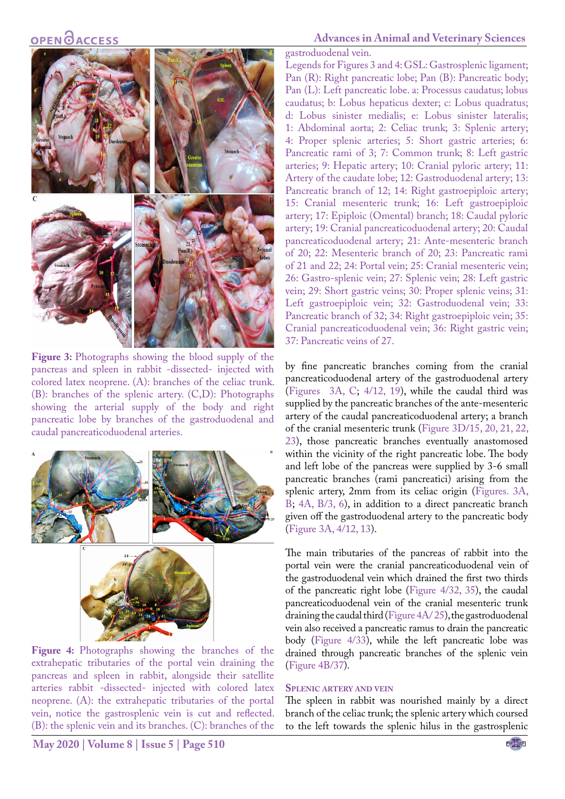

**Figure 3:** Photographs showing the blood supply of the pancreas and spleen in rabbit -dissected- injected with colored latex neoprene. (A): branches of the celiac trunk. (B): branches of the splenic artery. (C,D): Photographs showing the arterial supply of the body and right pancreatic lobe by branches of the gastroduodenal and caudal pancreaticoduodenal arteries.

<span id="page-4-0"></span>

<span id="page-4-1"></span>**Figure 4:** Photographs showing the branches of the extrahepatic tributaries of the portal vein draining the pancreas and spleen in rabbit, alongside their satellite arteries rabbit -dissected- injected with colored latex neoprene. (A): the extrahepatic tributaries of the portal vein, notice the gastrosplenic vein is cut and reflected. (B): the splenic vein and its branches. (C): branches of the

### **Advances in Animal and Veterinary Sciences**

gastroduodenal vein.

Legends for Figures 3 and 4: GSL: Gastrosplenic ligament; Pan (R): Right pancreatic lobe; Pan (B): Pancreatic body; Pan (L): Left pancreatic lobe. a: Processus caudatus; lobus caudatus; b: Lobus hepaticus dexter; c: Lobus quadratus; d: Lobus sinister medialis; e: Lobus sinister lateralis; 1: Abdominal aorta; 2: Celiac trunk; 3: Splenic artery; 4: Proper splenic arteries; 5: Short gastric arteries; 6: Pancreatic rami of 3; 7: Common trunk; 8: Left gastric arteries; 9: Hepatic artery; 10: Cranial pyloric artery; 11: Artery of the caudate lobe; 12: Gastroduodenal artery; 13: Pancreatic branch of 12; 14: Right gastroepiploic artery; 15: Cranial mesenteric trunk; 16: Left gastroepiploic artery; 17: Epiploic (Omental) branch; 18: Caudal pyloric artery; 19: Cranial pancreaticoduodenal artery; 20: Caudal pancreaticoduodenal artery; 21: Ante-mesenteric branch of 20; 22: Mesenteric branch of 20; 23: Pancreatic rami of 21 and 22; 24: Portal vein; 25: Cranial mesenteric vein; 26: Gastro-splenic vein; 27: Splenic vein; 28: Left gastric vein; 29: Short gastric veins; 30: Proper splenic veins; 31: Left gastroepiploic vein; 32: Gastroduodenal vein; 33: Pancreatic branch of 32; 34: Right gastroepiploic vein; 35: Cranial pancreaticoduodenal vein; 36: Right gastric vein; 37: Pancreatic veins of 27.

by fine pancreatic branches coming from the cranial pancreaticoduodenal artery of the gastroduodenal artery [\(Figures 3A, C](#page-4-0); [4/12, 19\)](#page-4-1), while the caudal third was supplied by the pancreatic branches of the ante-mesenteric artery of the caudal pancreaticoduodenal artery; a branch of the cranial mesenteric trunk [\(Figure 3D/15, 20, 21, 22,](#page-4-0) [23\)](#page-4-0), those pancreatic branches eventually anastomosed within the vicinity of the right pancreatic lobe. The body and left lobe of the pancreas were supplied by 3-6 small pancreatic branches (rami pancreatici) arising from the splenic artery, 2mm from its celiac origin ([Figures. 3A,](#page-4-0) [B](#page-4-0); [4A, B/3, 6\)](#page-4-1), in addition to a direct pancreatic branch given off the gastroduodenal artery to the pancreatic body [\(Figure 3A, 4/12, 13\)](#page-4-0).

The main tributaries of the pancreas of rabbit into the portal vein were the cranial pancreaticoduodenal vein of the gastroduodenal vein which drained the first two thirds of the pancreatic right lobe [\(Figure 4/32, 35\)](#page-4-1), the caudal pancreaticoduodenal vein of the cranial mesenteric trunk draining the caudal third [\(Figure 4A/ 25](#page-4-1)), the gastroduodenal vein also received a pancreatic ramus to drain the pancreatic body ([Figure 4/33\)](#page-4-1), while the left pancreatic lobe was drained through pancreatic branches of the splenic vein [\(Figure 4B/37](#page-4-1)).

#### <span id="page-4-2"></span>**Splenic artery and vein**

The spleen in rabbit was nourished mainly by a direct branch of the celiac trunk; the splenic artery which coursed to the left towards the splenic hilus in the gastrosplenic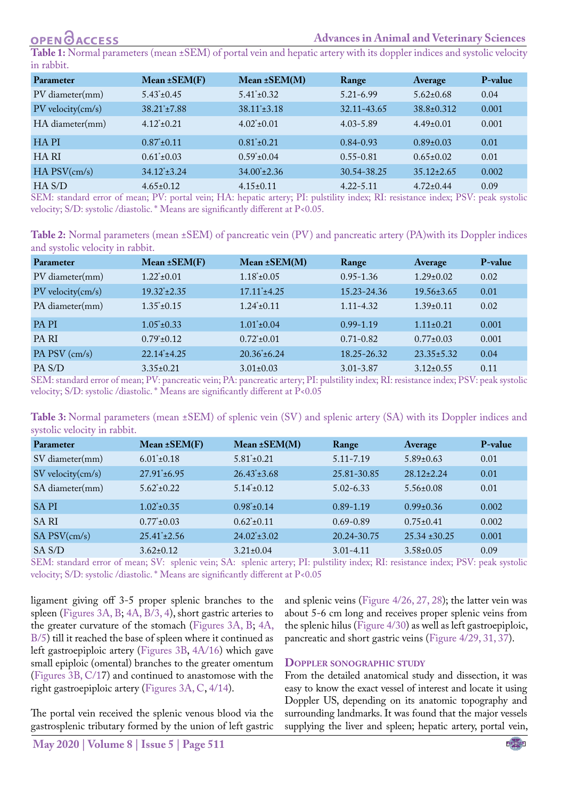#### **Advances in Animal and Veterinary Sciences**

**Table 1:** Normal parameters (mean ±SEM) of portal vein and hepatic artery with its doppler indices and systolic velocity in rabbit.

| Parameter              | Mean $\pm$ SEM(F)       | $Mean \pm SEM(M)$                           | Range                         | Average                 | P-value     |
|------------------------|-------------------------|---------------------------------------------|-------------------------------|-------------------------|-------------|
| PV diameter(mm)        | $5.43^{\ast}$ ± 0.45    | $5.41^{\circ} \pm 0.32$                     | $5.21 - 6.99$                 | $5.62 \pm 0.68$         | 0.04        |
| $PV$ velocity $(cm/s)$ | $38.21^{\circ}$ ± 7.88  | $38.11^{\ast}$ ± 3.18                       | 32.11-43.65                   | $38.8 \pm 0.312$        | 0.001       |
| HA diameter(mm)        | $4.12 \pm 0.21$         | $4.02 \pm 0.01$                             | $4.03 - 5.89$                 | $4.49\pm0.01$           | 0.001       |
| <b>HAPI</b>            | $0.87 \pm 0.11$         | $0.81^*$ ±0.21                              | $0.84 - 0.93$                 | $0.89 \pm 0.03$         | 0.01        |
| HA RI                  | $0.61^* \pm 0.03$       | $0.59^* \pm 0.04$                           | $0.55 - 0.81$                 | $0.65 \pm 0.02$         | 0.01        |
| $HA$ $PSV$ (cm/s)      | $34.12^{\ast} \pm 3.24$ | $34.00^{\circ}$ ±2.36                       | 30.54-38.25                   | $35.12 \pm 2.65$        | 0.002       |
| HA S/D<br>$\alpha$     | $4.65 \pm 0.12$<br>T(T) | $4.15 \pm 0.11$<br><b>DI</b><br>$T T A$ $T$ | $4.22 - 5.11$<br>$\mathbf{H}$ | $4.72 \pm 0.44$<br>DOTT | 0.09<br>- 1 |

SEM: standard error of mean; PV: portal vein; HA: hepatic artery; PI: pulstility index; RI: resistance index; PSV: peak systolic velocity; S/D: systolic /diastolic. \* Means are significantly different at P<0.05.

<span id="page-5-0"></span>

| Table 2: Normal parameters (mean ±SEM) of pancreatic vein (PV) and pancreatic artery (PA)with its Doppler indices |  |  |  |  |
|-------------------------------------------------------------------------------------------------------------------|--|--|--|--|
| and systolic velocity in rabbit.                                                                                  |  |  |  |  |

| <b>Parameter</b>  | Mean $\pm$ SEM(F)     | Mean $\pm$ SEM(M)     | Range         | Average          | P-value |
|-------------------|-----------------------|-----------------------|---------------|------------------|---------|
| PV diameter(mm)   | $1.22^*+0.01$         | $1.18^* \pm 0.05$     | $0.95 - 1.36$ | $1.29 \pm 0.02$  | 0.02    |
| PV velocity(cm/s) | $19.32^{\ast}$ ± 2.35 | $17.11^* + 4.25$      | 15.23-24.36   | $19.56 \pm 3.65$ | 0.01    |
| PA diameter(mm)   | $1.35^* + 0.15$       | $1.24 \pm 0.11$       | $1.11 - 4.32$ | $1.39 \pm 0.11$  | 0.02    |
| <b>PAPI</b>       | $1.05^*$ ± 0.33       | $1.01^*$ ± 0.04       | $0.99 - 1.19$ | $1.11 \pm 0.21$  | 0.001   |
| <b>PARI</b>       | $0.79^*$ ± 0.12       | $0.72^*$ ± 0.01       | $0.71 - 0.82$ | $0.77 \pm 0.03$  | 0.001   |
| PA PSV (cm/s)     | $22.14^{\circ}$ ±4.25 | $20.36^{\ast}$ = 6.24 | 18.25-26.32   | $23.35 \pm 5.32$ | 0.04    |
| PA S/D            | $3.35\pm0.21$         | $3.01 \pm 0.03$       | $3.01 - 3.87$ | $3.12 \pm 0.55$  | 0.11    |

SEM: standard error of mean; PV: pancreatic vein; PA: pancreatic artery; PI: pulstility index; RI: resistance index; PSV: peak systolic velocity; S/D: systolic /diastolic. \* Means are significantly different at P<0.05

<span id="page-5-1"></span>**Table 3:** Normal parameters (mean ±SEM) of splenic vein (SV) and splenic artery (SA) with its Doppler indices and systolic velocity in rabbit.

| Parameter         | Mean $\pm$ SEM(F)     | Mean ±SEM(M)            | Range         | Average           | P-value |
|-------------------|-----------------------|-------------------------|---------------|-------------------|---------|
| SV diameter(mm)   | $6.01^* \pm 0.18$     | $5.81^* \pm 0.21$       | $5.11 - 7.19$ | $5.89 \pm 0.63$   | 0.01    |
| SV velocity(cm/s) | $27.91^{\ast}$ ± 6.95 | $26.43^{\ast} \pm 3.68$ | 25.81-30.85   | $28.12 \pm 2.24$  | 0.01    |
| SA diameter(mm)   | $5.62^* \pm 0.22$     | $5.14 \pm 0.12$         | $5.02 - 6.33$ | $5.56 \pm 0.08$   | 0.01    |
| <b>SAPI</b>       | $1.02^{\ast}$ ± 0.35  | $0.98^*$ ± $0.14$       | $0.89 - 1.19$ | $0.99 \pm 0.36$   | 0.002   |
| SA RI             | $0.77^*$ ± 0.03       | $0.62^*$ ± 0.11         | $0.69 - 0.89$ | $0.75 \pm 0.41$   | 0.002   |
| $SA$ PSV $(cm/s)$ | $25.41^{\ast}$ ± 2.56 | $24.02^{\ast} \pm 3.02$ | 20.24-30.75   | $25.34 \pm 30.25$ | 0.001   |
| SA S/D            | $3.62 \pm 0.12$       | $3.21 \pm 0.04$         | $3.01 - 4.11$ | $3.58 \pm 0.05$   | 0.09    |

SEM: standard error of mean; SV: splenic vein; SA: splenic artery; PI: pulstility index; RI: resistance index; PSV: peak systolic velocity; S/D: systolic /diastolic. \* Means are significantly different at P<0.05

ligament giving off 3-5 proper splenic branches to the spleen ([Figures 3A, B;](#page-4-0) [4A, B/3, 4\)](#page-4-1), short gastric arteries to the greater curvature of the stomach [\(Figures 3A, B](#page-4-0); [4A,](#page-4-1) [B/5](#page-4-1)) till it reached the base of spleen where it continued as left gastroepiploic artery [\(Figures 3B](#page-4-0), [4A/16](#page-4-1)) which gave small epiploic (omental) branches to the greater omentum [\(Figures 3B, C/17](#page-4-0)) and continued to anastomose with the right gastroepiploic artery [\(Figures 3A, C](#page-4-0), [4/14\)](#page-4-1).

The portal vein received the splenic venous blood via the gastrosplenic tributary formed by the union of left gastric

and splenic veins ([Figure 4/26, 27, 28](#page-4-1)); the latter vein was about 5-6 cm long and receives proper splenic veins from the splenic hilus [\(Figure 4/30\)](#page-4-1) as well as left gastroepiploic, pancreatic and short gastric veins [\(Figure 4/29, 31, 37](#page-4-1)).

#### **Doppler sonographic study**

From the detailed anatomical study and dissection, it was easy to know the exact vessel of interest and locate it using Doppler US, depending on its anatomic topography and surrounding landmarks. It was found that the major vessels supplying the liver and spleen; hepatic artery, portal vein,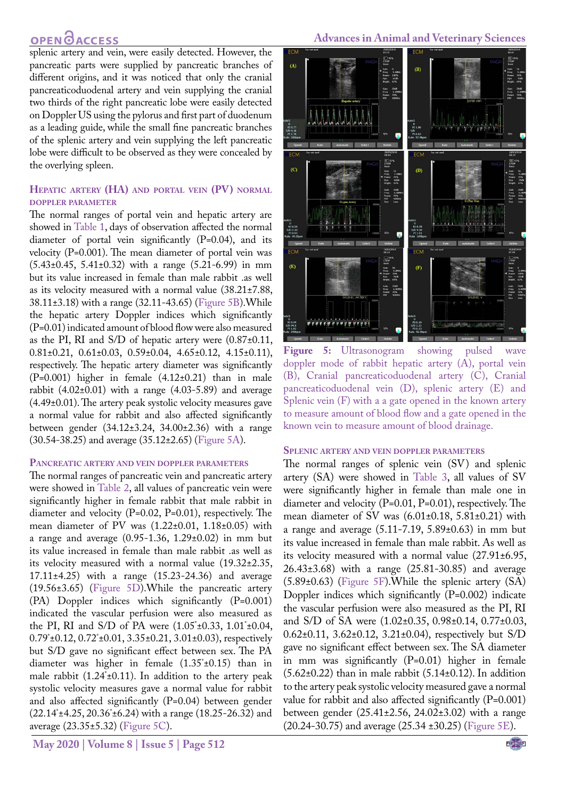splenic artery and vein, were easily detected. However, the pancreatic parts were supplied by pancreatic branches of different origins, and it was noticed that only the cranial pancreaticoduodenal artery and vein supplying the cranial two thirds of the right pancreatic lobe were easily detected on Doppler US using the pylorus and first part of duodenum as a leading guide, while the small fine pancreatic branches of the splenic artery and vein supplying the left pancreatic lobe were difficult to be observed as they were concealed by the overlying spleen.

#### **Hepatic artery (HA) and portal vein (PV) normal doppler parameter**

The normal ranges of portal vein and hepatic artery are showed in [Table 1](#page-4-2), days of observation affected the normal diameter of portal vein significantly (P=0.04), and its velocity (P=0.001). The mean diameter of portal vein was (5.43±0.45, 5.41±0.32) with a range (5.21-6.99) in mm but its value increased in female than male rabbit .as well as its velocity measured with a normal value (38.21±7.88, 38.11±3.18) with a range (32.11-43.65) [\(Figure 5B\)](#page-6-0).While the hepatic artery Doppler indices which significantly (P=0.01) indicated amount of blood flow were also measured as the PI, RI and S/D of hepatic artery were (0.87±0.11, 0.81±0.21, 0.61±0.03, 0.59±0.04, 4.65±0.12, 4.15±0.11), respectively. The hepatic artery diameter was significantly  $(P=0.001)$  higher in female  $(4.12\pm0.21)$  than in male rabbit  $(4.02\pm0.01)$  with a range  $(4.03-5.89)$  and average (4.49±0.01). The artery peak systolic velocity measures gave a normal value for rabbit and also affected significantly between gender (34.12±3.24, 34.00±2.36) with a range (30.54-38.25) and average (35.12±2.65) [\(Figure 5A\)](#page-6-0).

#### **Pancreatic artery and vein doppler parameters**

The normal ranges of pancreatic vein and pancreatic artery were showed in [Table 2](#page-5-0), all values of pancreatic vein were significantly higher in female rabbit that male rabbit in diameter and velocity (P=0.02, P=0.01), respectively. The mean diameter of PV was (1.22±0.01, 1.18±0.05) with a range and average (0.95-1.36, 1.29±0.02) in mm but its value increased in female than male rabbit .as well as its velocity measured with a normal value (19.32±2.35, 17.11±4.25) with a range (15.23-24.36) and average (19.56±3.65) [\(Figure 5D\)](#page-6-0).While the pancreatic artery (PA) Doppler indices which significantly (P=0.001) indicated the vascular perfusion were also measured as the PI, RI and S/D of PA were  $(1.05 \pm 0.33, 1.01 \pm 0.04,$ 0.79\* ±0.12, 0.72\* ±0.01, 3.35±0.21, 3.01±0.03), respectively but S/D gave no significant effect between sex. The PA diameter was higher in female (1.35\* ±0.15) than in male rabbit (1.24\* ±0.11). In addition to the artery peak systolic velocity measures gave a normal value for rabbit and also affected significantly (P=0.04) between gender (22.14\* ±4.25, 20.36\* ±6.24) with a range (18.25-26.32) and average (23.35±5.32) ([Figure 5C](#page-6-0)).

#### **Advances in Animal and Veterinary Sciences**



<span id="page-6-0"></span>**Figure 5:** Ultrasonogram showing pulsed wave doppler mode of rabbit hepatic artery (A), portal vein (B), Cranial pancreaticoduodenal artery (C), Cranial pancreaticoduodenal vein (D), splenic artery (E) and Splenic vein (F) with a a gate opened in the known artery to measure amount of blood flow and a gate opened in the known vein to measure amount of blood drainage.

#### **Splenic artery and vein doppler parameters**

The normal ranges of splenic vein (SV) and splenic artery (SA) were showed in [Table 3](#page-5-1), all values of SV were significantly higher in female than male one in diameter and velocity (P=0.01, P=0.01), respectively. The mean diameter of SV was  $(6.01 \pm 0.18, 5.81 \pm 0.21)$  with a range and average  $(5.11 - 7.19, 5.89 \pm 0.63)$  in mm but its value increased in female than male rabbit. As well as its velocity measured with a normal value (27.91±6.95, 26.43±3.68) with a range (25.81-30.85) and average (5.89±0.63) ([Figure 5F](#page-6-0)).While the splenic artery (SA) Doppler indices which significantly (P=0.002) indicate the vascular perfusion were also measured as the PI, RI and S/D of SA were (1.02±0.35, 0.98±0.14, 0.77±0.03, 0.62±0.11, 3.62±0.12, 3.21±0.04), respectively but S/D gave no significant effect between sex. The SA diameter in mm was significantly (P=0.01) higher in female  $(5.62\pm0.22)$  than in male rabbit  $(5.14\pm0.12)$ . In addition to the artery peak systolic velocity measured gave a normal value for rabbit and also affected significantly  $(P=0.001)$ between gender (25.41±2.56, 24.02±3.02) with a range (20.24-30.75) and average (25.34 ±30.25) ([Figure 5E](#page-6-0)).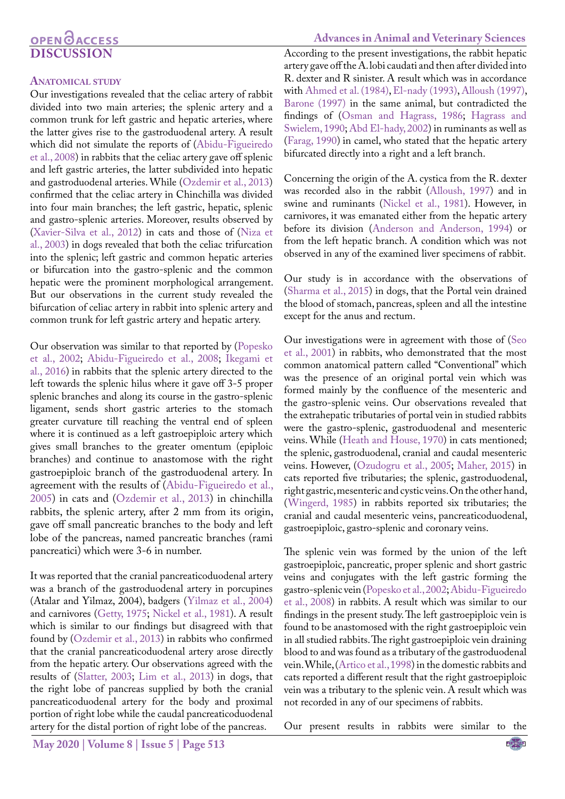# **OPEN OACCESS DISCUSSION**

#### **Anatomical study**

Our investigations revealed that the celiac artery of rabbit divided into two main arteries; the splenic artery and a common trunk for left gastric and hepatic arteries, where the latter gives rise to the gastroduodenal artery. A result which did not simulate the reports of [\(Abidu-Figueiredo](#page-10-6) [et al., 2008](#page-10-6)) in rabbits that the celiac artery gave off splenic and left gastric arteries, the latter subdivided into hepatic and gastroduodenal arteries. While ([Ozdemir et al., 2013\)](#page-11-1) confirmed that the celiac artery in Chinchilla was divided into four main branches; the left gastric, hepatic, splenic and gastro-splenic arteries. Moreover, results observed by [\(Xavier-Silva et al., 2012\)](#page-12-1) in cats and those of (Niza et al., 2003) in dogs revealed that both the celiac trifurcation into the splenic; left gastric and common hepatic arteries or bifurcation into the gastro-splenic and the common hepatic were the prominent morphological arrangement. But our observations in the current study revealed the bifurcation of celiac artery in rabbit into splenic artery and common trunk for left gastric artery and hepatic artery.

Our observation was similar to that reported by ([Popesko](#page-11-2) [et al., 2002;](#page-11-2) [Abidu-Figueiredo et al., 2008](#page-10-6); [Ikegami et](#page-10-7) [al., 2016](#page-10-7)) in rabbits that the splenic artery directed to the left towards the splenic hilus where it gave off 3-5 proper splenic branches and along its course in the gastro-splenic ligament, sends short gastric arteries to the stomach greater curvature till reaching the ventral end of spleen where it is continued as a left gastroepiploic artery which gives small branches to the greater omentum (epiploic branches) and continue to anastomose with the right gastroepiploic branch of the gastroduodenal artery. In agreement with the results of [\(Abidu-Figueiredo et al.,](#page-9-3) [2005\)](#page-9-3) in cats and [\(Ozdemir et al., 2013](#page-11-1)) in chinchilla rabbits, the splenic artery, after 2 mm from its origin, gave off small pancreatic branches to the body and left lobe of the pancreas, named pancreatic branches (rami pancreatici) which were 3-6 in number.

It was reported that the cranial pancreaticoduodenal artery was a branch of the gastroduodenal artery in porcupines (Atalar and Yilmaz, 2004), badgers ([Yilmaz et al., 2004\)](#page-12-2) and carnivores ([Getty, 1975;](#page-10-8) [Nickel et al., 1981\)](#page-11-3). A result which is similar to our findings but disagreed with that found by ([Ozdemir et al., 2013](#page-11-1)) in rabbits who confirmed that the cranial pancreaticoduodenal artery arose directly from the hepatic artery. Our observations agreed with the results of ([Slatter, 2003;](#page-11-4) [Lim et al., 2013\)](#page-11-5) in dogs, that the right lobe of pancreas supplied by both the cranial pancreaticoduodenal artery for the body and proximal portion of right lobe while the caudal pancreaticoduodenal artery for the distal portion of right lobe of the pancreas.

#### **Advances in Animal and Veterinary Sciences**

According to the present investigations, the rabbit hepatic artery gave off the A. lobi caudati and then after divided into R. dexter and R sinister. A result which was in accordance with [Ahmed et al. \(1984\),](#page-10-9) [El-nady \(1993\),](#page-10-10) [Alloush \(1997\)](#page-10-11), [Barone \(1997\)](#page-10-12) in the same animal, but contradicted the findings of [\(Osman and Hagrass, 1986;](#page-11-6) [Hagrass and](#page-10-13) [Swielem, 1990](#page-10-13); Abd El-hady, 2002) in ruminants as well as [\(Farag, 1990](#page-10-14)) in camel, who stated that the hepatic artery bifurcated directly into a right and a left branch.

Concerning the origin of the A. cystica from the R. dexter was recorded also in the rabbit ([Alloush, 1997](#page-10-11)) and in swine and ruminants ([Nickel et al., 1981\)](#page-11-3). However, in carnivores, it was emanated either from the hepatic artery before its division [\(Anderson and Anderson, 1994](#page-10-15)) or from the left hepatic branch. A condition which was not observed in any of the examined liver specimens of rabbit.

Our study is in accordance with the observations of [\(Sharma et al., 2015\)](#page-11-7) in dogs, that the Portal vein drained the blood of stomach, pancreas, spleen and all the intestine except for the anus and rectum.

Our investigations were in agreement with those of ([Seo](#page-11-8) [et al., 2001\)](#page-11-8) in rabbits, who demonstrated that the most common anatomical pattern called "Conventional" which was the presence of an original portal vein which was formed mainly by the confluence of the mesenteric and the gastro-splenic veins. Our observations revealed that the extrahepatic tributaries of portal vein in studied rabbits were the gastro-splenic, gastroduodenal and mesenteric veins. While [\(Heath and House, 1970](#page-10-16)) in cats mentioned; the splenic, gastroduodenal, cranial and caudal mesenteric veins. However, [\(Ozudogru et al., 2005;](#page-11-9) [Maher, 2015\)](#page-11-10) in cats reported five tributaries; the splenic, gastroduodenal, right gastric, mesenteric and cystic veins. On the other hand, ([Wingerd, 1985\)](#page-12-3) in rabbits reported six tributaries; the cranial and caudal mesenteric veins, pancreaticoduodenal, gastroepiploic, gastro-splenic and coronary veins.

The splenic vein was formed by the union of the left gastroepiploic, pancreatic, proper splenic and short gastric veins and conjugates with the left gastric forming the gastro-splenic vein [\(Popesko et al., 2002;](#page-11-2) [Abidu-Figueiredo](#page-10-6) [et al., 2008](#page-10-6)) in rabbits. A result which was similar to our findings in the present study. The left gastroepiploic vein is found to be anastomosed with the right gastroepiploic vein in all studied rabbits. The right gastroepiploic vein draining blood to and was found as a tributary of the gastroduodenal vein. While, (Artico et al., 1998) in the domestic rabbits and cats reported a different result that the right gastroepiploic vein was a tributary to the splenic vein. A result which was not recorded in any of our specimens of rabbits.

Our present results in rabbits were similar to the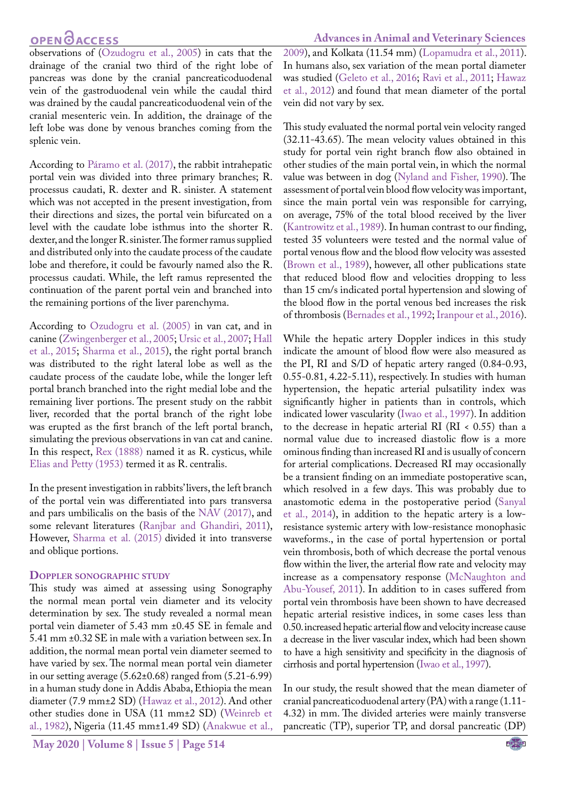**Advances in Animal and Veterinary Sciences**

observations of [\(Ozudogru et al., 2005](#page-11-9)) in cats that the drainage of the cranial two third of the right lobe of pancreas was done by the cranial pancreaticoduodenal vein of the gastroduodenal vein while the caudal third was drained by the caudal pancreaticoduodenal vein of the cranial mesenteric vein. In addition, the drainage of the left lobe was done by venous branches coming from the splenic vein.

According to Páramo et al. (2017), the rabbit intrahepatic portal vein was divided into three primary branches; R. processus caudati, R. dexter and R. sinister. A statement which was not accepted in the present investigation, from their directions and sizes, the portal vein bifurcated on a level with the caudate lobe isthmus into the shorter R. dexter, and the longer R. sinister. The former ramus supplied and distributed only into the caudate process of the caudate lobe and therefore, it could be favourly named also the R. processus caudati. While, the left ramus represented the continuation of the parent portal vein and branched into the remaining portions of the liver parenchyma.

According to [Ozudogru et al. \(2005\)](#page-11-9) in van cat, and in canine ([Zwingenberger et al., 2005;](#page-12-4) Ursic et al., 2007; [Hall](#page-10-17)  [et al., 2015;](#page-10-17) [Sharma et al., 2015](#page-11-7)), the right portal branch was distributed to the right lateral lobe as well as the caudate process of the caudate lobe, while the longer left portal branch branched into the right medial lobe and the remaining liver portions. The present study on the rabbit liver, recorded that the portal branch of the right lobe was erupted as the first branch of the left portal branch, simulating the previous observations in van cat and canine. In this respect, [Rex \(1888\)](#page-11-11) named it as R. cysticus, while [Elias and Petty \(1953\)](#page-10-18) termed it as R. centralis.

In the present investigation in rabbits' livers, the left branch of the portal vein was differentiated into pars transversa and pars umbilicalis on the basis of the [NAV \(2017\)](#page-11-12), and some relevant literatures [\(Ranjbar and Ghandiri, 2011](#page-11-13)), However, [Sharma et al. \(2015\)](#page-11-7) divided it into transverse and oblique portions.

#### **Doppler sonographic study**

This study was aimed at assessing using Sonography the normal mean portal vein diameter and its velocity determination by sex. The study revealed a normal mean portal vein diameter of 5.43 mm ±0.45 SE in female and 5.41 mm ±0.32 SE in male with a variation between sex. In addition, the normal mean portal vein diameter seemed to have varied by sex. The normal mean portal vein diameter in our setting average (5.62±0.68) ranged from (5.21-6.99) in a human study done in Addis Ababa, Ethiopia the mean diameter (7.9 mm±2 SD) ([Hawaz et al., 2012](#page-10-19)). And other other studies done in USA (11 mm±2 SD) ([Weinreb et](#page-12-5)  [al., 1982\)](#page-12-5), Nigeria (11.45 mm±1.49 SD) ([Anakwue et al.,](#page-10-20) 

[2009\)](#page-10-20), and Kolkata (11.54 mm) [\(Lopamudra et al., 2011\)](#page-11-14). In humans also, sex variation of the mean portal diameter was studied [\(Geleto et al., 2016](#page-10-21); [Ravi et al., 2011;](#page-11-15) [Hawaz](#page-10-19) [et al., 2012](#page-10-19)) and found that mean diameter of the portal vein did not vary by sex.

This study evaluated the normal portal vein velocity ranged (32.11-43.65). The mean velocity values obtained in this study for portal vein right branch flow also obtained in other studies of the main portal vein, in which the normal value was between in dog [\(Nyland and Fisher, 1990](#page-11-16)). The assessment of portal vein blood flow velocity was important, since the main portal vein was responsible for carrying, on average, 75% of the total blood received by the liver [\(Kantrowitz et al., 1989](#page-11-17)). In human contrast to our finding, tested 35 volunteers were tested and the normal value of portal venous flow and the blood flow velocity was assested [\(Brown et al., 1989](#page-10-22)), however, all other publications state that reduced blood flow and velocities dropping to less than 15 cm/s indicated portal hypertension and slowing of the blood flow in the portal venous bed increases the risk of thrombosis (Bernades et al., 1992; [Iranpour et al., 2016\)](#page-11-18).

While the hepatic artery Doppler indices in this study indicate the amount of blood flow were also measured as the PI, RI and S/D of hepatic artery ranged (0.84-0.93, 0.55-0.81, 4.22-5.11), respectively. In studies with human hypertension, the hepatic arterial pulsatility index was significantly higher in patients than in controls, which indicated lower vascularity (Iwao et al., 1997). In addition to the decrease in hepatic arterial RI (RI < 0.55) than a normal value due to increased diastolic flow is a more ominous finding than increased RI and is usually of concern for arterial complications. Decreased RI may occasionally be a transient finding on an immediate postoperative scan, which resolved in a few days. This was probably due to anastomotic edema in the postoperative period (Sanyal et al., 2014), in addition to the hepatic artery is a lowresistance systemic artery with low-resistance monophasic waveforms., in the case of portal hypertension or portal vein thrombosis, both of which decrease the portal venous flow within the liver, the arterial flow rate and velocity may increase as a compensatory response [\(McNaughton and](#page-11-19) [Abu-Yousef, 2011](#page-11-19)). In addition to in cases suffered from portal vein thrombosis have been shown to have decreased hepatic arterial resistive indices, in some cases less than 0.50. increased hepatic arterial flow and velocity increase cause a decrease in the liver vascular index, which had been shown to have a high sensitivity and specificity in the diagnosis of cirrhosis and portal hypertension (Iwao et al., 1997).

In our study, the result showed that the mean diameter of cranial pancreaticoduodenal artery (PA) with a range (1.11- 4.32) in mm. The divided arteries were mainly transverse pancreatic (TP), superior TP, and dorsal pancreatic (DP)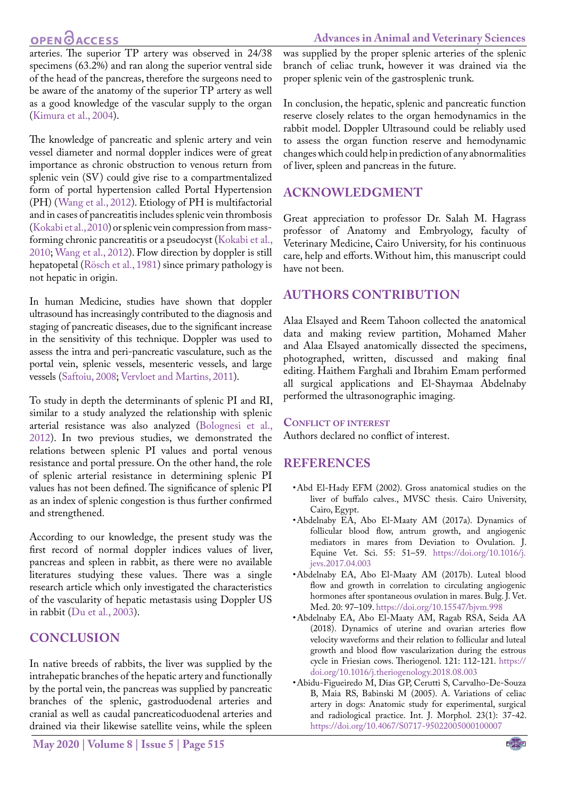**Advances in Animal and Veterinary Sciences**

arteries. The superior TP artery was observed in 24/38 specimens (63.2%) and ran along the superior ventral side of the head of the pancreas, therefore the surgeons need to be aware of the anatomy of the superior TP artery as well as a good knowledge of the vascular supply to the organ (Kimura et al., 2004).

The knowledge of pancreatic and splenic artery and vein vessel diameter and normal doppler indices were of great importance as chronic obstruction to venous return from splenic vein (SV) could give rise to a compartmentalized form of portal hypertension called Portal Hypertension (PH) ([Wang et al., 2012](#page-12-6)). Etiology of PH is multifactorial and in cases of pancreatitis includes splenic vein thrombosis ([Kokabi et al., 2010\)](#page-11-20) or splenic vein compression from massforming chronic pancreatitis or a pseudocyst ([Kokabi et al.,](#page-11-20)  [2010](#page-11-20); [Wang et al., 2012](#page-12-6)). Flow direction by doppler is still hepatopetal (Rösch et al., 1981) since primary pathology is not hepatic in origin.

In human Medicine, studies have shown that doppler ultrasound has increasingly contributed to the diagnosis and staging of pancreatic diseases, due to the significant increase in the sensitivity of this technique. Doppler was used to assess the intra and peri-pancreatic vasculature, such as the portal vein, splenic vessels, mesenteric vessels, and large vessels [\(Saftoiu, 2008;](#page-11-21) [Vervloet and Martins, 2011\)](#page-12-7).

To study in depth the determinants of splenic PI and RI, similar to a study analyzed the relationship with splenic arterial resistance was also analyzed [\(Bolognesi et al.,](#page-10-23)  [2012](#page-10-23)). In two previous studies, we demonstrated the relations between splenic PI values and portal venous resistance and portal pressure. On the other hand, the role of splenic arterial resistance in determining splenic PI values has not been defined. The significance of splenic PI as an index of splenic congestion is thus further confirmed and strengthened.

According to our knowledge, the present study was the first record of normal doppler indices values of liver, pancreas and spleen in rabbit, as there were no available literatures studying these values. There was a single research article which only investigated the characteristics of the vascularity of hepatic metastasis using Doppler US in rabbit [\(Du et al., 2003\)](#page-10-24).

### **CONCLUSION**

In native breeds of rabbits, the liver was supplied by the intrahepatic branches of the hepatic artery and functionally by the portal vein, the pancreas was supplied by pancreatic branches of the splenic, gastroduodenal arteries and cranial as well as caudal pancreaticoduodenal arteries and drained via their likewise satellite veins, while the spleen

**May 2020 | Volume 8 | Issue 5 | Page 515**

was supplied by the proper splenic arteries of the splenic branch of celiac trunk, however it was drained via the proper splenic vein of the gastrosplenic trunk.

In conclusion, the hepatic, splenic and pancreatic function reserve closely relates to the organ hemodynamics in the rabbit model. Doppler Ultrasound could be reliably used to assess the organ function reserve and hemodynamic changes which could help in prediction of any abnormalities of liver, spleen and pancreas in the future.

### **ACKNOWLEDGMENT**

Great appreciation to professor Dr. Salah M. Hagrass professor of Anatomy and Embryology, faculty of Veterinary Medicine, Cairo University, for his continuous care, help and efforts. Without him, this manuscript could have not been.

### **Authors Contribution**

Alaa Elsayed and Reem Tahoon collected the anatomical data and making review partition, Mohamed Maher and Alaa Elsayed anatomically dissected the specimens, photographed, written, discussed and making final editing. Haithem Farghali and Ibrahim Emam performed all surgical applications and El-Shaymaa Abdelnaby performed the ultrasonographic imaging.

#### **Conflict of interest**

Authors declared no conflict of interest.

### **REFERENCES**

- • Abd El-Hady EFM (2002). Gross anatomical studies on the liver of buffalo calves., MVSC thesis. Cairo University, Cairo, Egypt.
- <span id="page-9-1"></span>• Abdelnaby EA, Abo El-Maaty AM (2017a). Dynamics of follicular blood flow, antrum growth, and angiogenic mediators in mares from Deviation to Ovulation. J. Equine Vet. Sci. 55: 51–59. [https://doi.org/10.1016/j.](https://doi.org/10.1016/j.jevs.2017.04.003) [jevs.2017.04.003](https://doi.org/10.1016/j.jevs.2017.04.003)
- <span id="page-9-2"></span>• Abdelnaby EA, Abo El-Maaty AM (2017b). Luteal blood flow and growth in correlation to circulating angiogenic hormones after spontaneous ovulation in mares. Bulg. J. Vet. Med. 20: 97–109.<https://doi.org/10.15547/bjvm.998>
- <span id="page-9-0"></span>• Abdelnaby EA, Abo El-Maaty AM, Ragab RSA, Seida AA (2018). Dynamics of uterine and ovarian arteries flow velocity waveforms and their relation to follicular and luteal growth and blood flow vascularization during the estrous cycle in Friesian cows. Theriogenol. 121: 112-121. [https://](https://doi.org/10.1016/j.theriogenology.2018.08.003) [doi.org/10.1016/j.theriogenology.2018.08.003](https://doi.org/10.1016/j.theriogenology.2018.08.003)
- <span id="page-9-3"></span>• Abidu-Figueiredo M, Dias GP, Cerutti S, Carvalho-De-Souza B, Maia RS, Babinski M (2005). A. Variations of celiac artery in dogs: Anatomic study for experimental, surgical and radiological practice. Int. J. Morphol. 23(1): 37-42. <https://doi.org/10.4067/S0717-95022005000100007>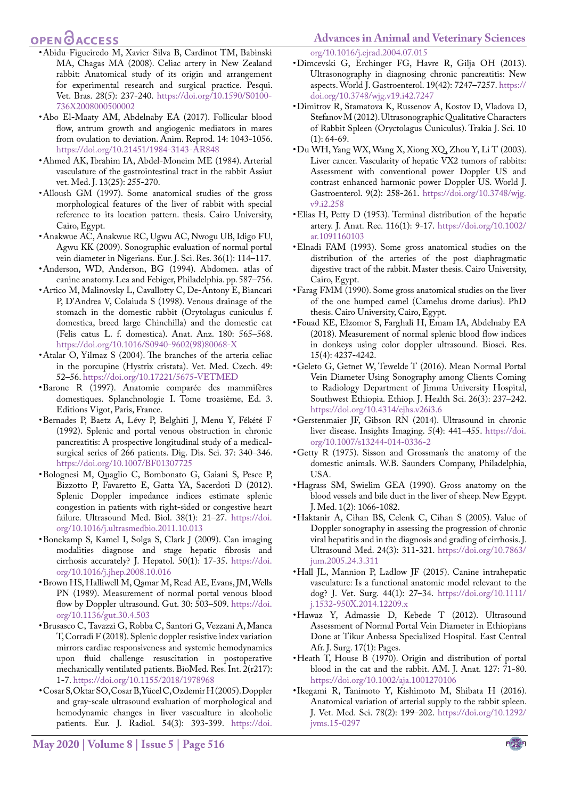- <span id="page-10-6"></span>• Abidu-Figueiredo M, Xavier-Silva B, Cardinot TM, Babinski MA, Chagas MA (2008). Celiac artery in New Zealand rabbit: Anatomical study of its origin and arrangement for experimental research and surgical practice. Pesqui. Vet. Bras. 28(5): 237-240. [https://doi.org/10.1590/S0100-](https://doi.org/10.1590/S0100-736X2008000500002) [736X2008000500002](https://doi.org/10.1590/S0100-736X2008000500002)
- <span id="page-10-4"></span>• Abo El-Maaty AM, Abdelnaby EA (2017). Follicular blood flow, antrum growth and angiogenic mediators in mares from ovulation to deviation. Anim. Reprod. 14: 1043-1056. <https://doi.org/10.21451/1984-3143-AR848>
- <span id="page-10-9"></span>• Ahmed AK, Ibrahim IA, Abdel-Moneim ME (1984). Arterial vasculature of the gastrointestinal tract in the rabbit Assiut vet. Med. J. 13(25): 255-270.
- <span id="page-10-11"></span>• Alloush GM (1997). Some anatomical studies of the gross morphological features of the liver of rabbit with special reference to its location pattern. thesis. Cairo University, Cairo, Egypt.
- <span id="page-10-20"></span>• Anakwue AC, Anakwue RC, Ugwu AC, Nwogu UB, Idigo FU, Agwu KK (2009). Sonographic evaluation of normal portal vein diameter in Nigerians. Eur. J. Sci. Res. 36(1): 114–117.
- <span id="page-10-15"></span>• Anderson, WD, Anderson, BG (1994). Abdomen. atlas of canine anatomy. Lea and Febiger, Philadelphia. pp. 587–756.
- • Artico M, Malinovsky L, Cavallotty C, De-Antony E, Biancari P, D'Andrea V, Colaiuda S (1998). Venous drainage of the stomach in the domestic rabbit (Orytolagus cuniculus f. domestica, breed large Chinchilla) and the domestic cat (Felis catus L. f. domestica). Anat. Anz. 180: 565–568. [https://doi.org/10.1016/S0940-9602\(98\)80068-X](https://doi.org/10.1016/S0940-9602(98)80068-X)
- Atalar O, Yilmaz S (2004). The branches of the arteria celiac in the porcupine (Hystrix cristata). Vet. Med. Czech. 49: 52–56.<https://doi.org/10.17221/5675-VETMED>
- <span id="page-10-12"></span>• Barone R (1997). Anatomie comparée des mammifères domestiques. Splanchnologie I. Tome troasième, Ed. 3. Editions Vigot, Paris, France.
- • Bernades P, Baetz A, Lévy P, Belghiti J, Menu Y, Fékété F (1992). Splenic and portal venous obstruction in chronic pancreatitis: A prospective longitudinal study of a medicalsurgical series of 266 patients. Dig. Dis. Sci. 37: 340–346. <https://doi.org/10.1007/BF01307725>
- <span id="page-10-23"></span>• Bolognesi M, Quaglio C, Bombonato G, Gaiani S, Pesce P, Bizzotto P, Favaretto E, Gatta YA, Sacerdoti D (2012). Splenic Doppler impedance indices estimate splenic congestion in patients with right-sided or congestive heart failure. Ultrasound Med. Biol. 38(1): 21-27. [https://doi.](https://doi.org/10.1016/j.ultrasmedbio.2011.10.013) [org/10.1016/j.ultrasmedbio.2011.10.013](https://doi.org/10.1016/j.ultrasmedbio.2011.10.013)
- <span id="page-10-1"></span>• Bonekamp S, Kamel I, Solga S, Clark J (2009). Can imaging modalities diagnose and stage hepatic fibrosis and cirrhosis accurately? J. Hepatol. 50(1): 17-35. [https://doi.](https://doi.org/10.1016/j.jhep.2008.10.016) [org/10.1016/j.jhep.2008.10.016](https://doi.org/10.1016/j.jhep.2008.10.016)
- <span id="page-10-22"></span>• Brown HS, Halliwell M, Qamar M, Read AE, Evans, JM, Wells PN (1989). Measurement of normal portal venous blood flow by Doppler ultrasound. Gut. 30: 503-509. [https://doi.](https://doi.org/10.1136/gut.30.4.503) [org/10.1136/gut.30.4.503](https://doi.org/10.1136/gut.30.4.503)
- • Brusasco C, Tavazzi G, Robba C, Santori G, Vezzani A, Manca T, Corradi F (2018). Splenic doppler resistive index variation mirrors cardiac responsiveness and systemic hemodynamics upon fluid challenge resuscitation in postoperative mechanically ventilated patients. BioMed. Res. Int. 2(r217): 1-7.<https://doi.org/10.1155/2018/1978968>
- • Cosar S, Oktar SO, Cosar B, Yücel C, Ozdemir H (2005). Doppler and gray-scale ultrasound evaluation of morphological and hemodynamic changes in liver vascualture in alcoholic patients. Eur. J. Radiol. 54(3): 393-399. [https://doi.](https://doi.org/10.1016/j.ejrad.2004.07.015)

[org/10.1016/j.ejrad.2004.07.015](https://doi.org/10.1016/j.ejrad.2004.07.015)

- • Dimcevski G, Erchinger FG, Havre R, Gilja OH (2013). Ultrasonography in diagnosing chronic pancreatitis: New aspects. World J. Gastroenterol. 19(42): 7247–7257. [https://](https://doi.org/10.3748/wjg.v19.i42.7247) [doi.org/10.3748/wjg.v19.i42.7247](https://doi.org/10.3748/wjg.v19.i42.7247)
- <span id="page-10-0"></span>• Dimitrov R, Stamatova K, Russenov A, Kostov D, Vladova D, Stefanov M (2012). Ultrasonographic Qualitative Characters of Rabbit Spleen (Oryctolagus Cuniculus). Trakia J. Sci. 10  $(1): 64-69.$
- <span id="page-10-24"></span>• Du WH, Yang WX, Wang X, Xiong XQ, Zhou Y, Li T (2003). Liver cancer. Vascularity of hepatic VX2 tumors of rabbits: Assessment with conventional power Doppler US and contrast enhanced harmonic power Doppler US. World J. Gastroenterol. 9(2): 258-261. [https://doi.org/10.3748/wjg.](https://doi.org/10.3748/wjg.v9.i2.258) [v9.i2.258](https://doi.org/10.3748/wjg.v9.i2.258)
- <span id="page-10-18"></span>• Elias H, Petty D (1953). Terminal distribution of the hepatic artery. J. Anat. Rec. 116(1): 9-17. [https://doi.org/10.1002/](https://doi.org/10.1002/ar.1091160103) [ar.1091160103](https://doi.org/10.1002/ar.1091160103)
- <span id="page-10-10"></span>• Elnadi FAM (1993). Some gross anatomical studies on the distribution of the arteries of the post diaphragmatic digestive tract of the rabbit. Master thesis. Cairo University, Cairo, Egypt.
- <span id="page-10-14"></span>• Farag FMM (1990). Some gross anatomical studies on the liver of the one humped camel (Camelus drome darius). PhD thesis. Cairo University, Cairo, Egypt.
- <span id="page-10-5"></span>• Fouad KE, Elzomor S, Farghali H, Emam IA, Abdelnaby EA (2018). Measurement of normal splenic blood flow indices in donkeys using color doppler ultrasound. Biosci. Res. 15(4): 4237-4242.
- <span id="page-10-21"></span>• Geleto G, Getnet W, Tewelde T (2016). Mean Normal Portal Vein Diameter Using Sonography among Clients Coming to Radiology Department of Jimma University Hospital, Southwest Ethiopia. Ethiop. J. Health Sci. 26(3): 237–242. <https://doi.org/10.4314/ejhs.v26i3.6>
- <span id="page-10-2"></span>• Gerstenmaier JF, Gibson RN (2014). Ultrasound in chronic liver disease. Insights Imaging. 5(4): 441–455. [https://doi.](https://doi.org/10.1007/s13244-014-0336-2) [org/10.1007/s13244-014-0336-2](https://doi.org/10.1007/s13244-014-0336-2)
- <span id="page-10-8"></span>• Getty R (1975). Sisson and Grossman's the anatomy of the domestic animals. W.B. Saunders Company, Philadelphia, USA.
- <span id="page-10-13"></span>• Hagrass SM, Swielim GEA (1990). Gross anatomy on the blood vessels and bile duct in the liver of sheep. New Egypt. J. Med. 1(2): 1066-1082.
- <span id="page-10-3"></span>• Haktanir A, Cihan BS, Celenk C, Cihan S (2005). Value of Doppler sonography in assessing the progression of chronic viral hepatitis and in the diagnosis and grading of cirrhosis. J. Ultrasound Med. 24(3): 311-321. [https://doi.org/10.7863/](https://doi.org/10.7863/jum.2005.24.3.311) [jum.2005.24.3.311](https://doi.org/10.7863/jum.2005.24.3.311)
- <span id="page-10-17"></span>• Hall JL, Mannion P, Ladlow JF (2015). Canine intrahepatic vasculature: Is a functional anatomic model relevant to the dog? J. Vet. Surg. 44(1): 27–34. [https://doi.org/10.1111/](https://doi.org/10.1111/j.1532-950X.2014.12209.x) [j.1532-950X.2014.12209.x](https://doi.org/10.1111/j.1532-950X.2014.12209.x)
- <span id="page-10-19"></span>• Hawaz Y, Admassie D, Kebede T (2012). Ultrasound Assessment of Normal Portal Vein Diameter in Ethiopians Done at Tikur Anbessa Specialized Hospital. East Central Afr. J. Surg. 17(1): Pages.
- <span id="page-10-16"></span>• Heath T, House B (1970). Origin and distribution of portal blood in the cat and the rabbit. AM. J. Anat. 127: 71-80. <https://doi.org/10.1002/aja.1001270106>
- <span id="page-10-7"></span>• Ikegami R, Tanimoto Y, Kishimoto M, Shibata H (2016). Anatomical variation of arterial supply to the rabbit spleen. J. Vet. Med. Sci. 78(2): 199–202. [https://doi.org/10.1292/](https://doi.org/10.1292/jvms.15-0297) [jvms.15-0297](https://doi.org/10.1292/jvms.15-0297)

**May 2020 | Volume 8 | Issue 5 | Page 516**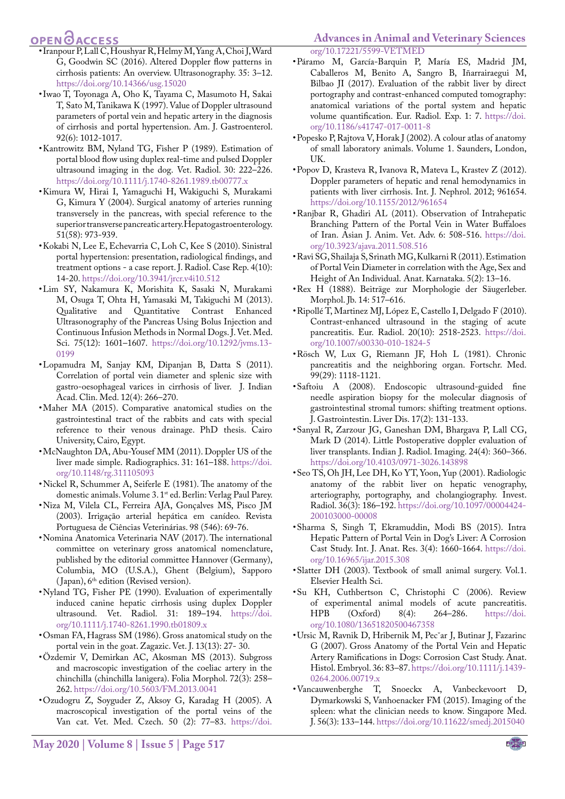- <span id="page-11-18"></span>• Iranpour P, Lall C, Houshyar R, Helmy M, Yang A, Choi J, Ward G, Goodwin SC (2016). Altered Doppler flow patterns in cirrhosis patients: An overview. Ultrasonography. 35: 3–12. <https://doi.org/10.14366/usg.15020>
- • Iwao T, Toyonaga A, Oho K, Tayama C, Masumoto H, Sakai T, Sato M, Tanikawa K (1997). Value of Doppler ultrasound parameters of portal vein and hepatic artery in the diagnosis of cirrhosis and portal hypertension. Am. J. Gastroenterol. 92(6): 1012-1017.
- <span id="page-11-17"></span>• Kantrowitz BM, Nyland TG, Fisher P (1989). Estimation of portal blood flow using duplex real-time and pulsed Doppler ultrasound imaging in the dog. Vet. Radiol. 30: 222–226. <https://doi.org/10.1111/j.1740-8261.1989.tb00777.x>
- • Kimura W, Hirai I, Yamaguchi H, Wakiguchi S, Murakami G, Kimura Y (2004). Surgical anatomy of arteries running transversely in the pancreas, with special reference to the superior transverse pancreatic artery. Hepatogastroenterology. 51(58): 973-939.
- <span id="page-11-20"></span>• Kokabi N, Lee E, Echevarria C, Loh C, Kee S (2010). Sinistral portal hypertension: presentation, radiological findings, and treatment options - a case report. J. Radiol. Case Rep. 4(10): 14-20.<https://doi.org/10.3941/jrcr.v4i10.512>
- <span id="page-11-5"></span>• Lim SY, Nakamura K, Morishita K, Sasaki N, Murakami M, Osuga T, Ohta H, Yamasaki M, Takiguchi M (2013). Qualitative and Quantitative Contrast Enhanced Ultrasonography of the Pancreas Using Bolus Injection and Continuous Infusion Methods in Normal Dogs. J. Vet. Med. Sci. 75(12): 1601–1607. [https://doi.org/10.1292/jvms.13-](https://doi.org/10.1292/jvms.13-0199) [0199](https://doi.org/10.1292/jvms.13-0199)
- <span id="page-11-14"></span>• Lopamudra M, Sanjay KM, Dipanjan B, Datta S (2011). Correlation of portal vein diameter and splenic size with gastro-oesophageal varices in cirrhosis of liver. J. Indian Acad. Clin. Med. 12(4): 266–270.
- <span id="page-11-10"></span>• Maher MA (2015). Comparative anatomical studies on the gastrointestinal tract of the rabbits and cats with special reference to their venous drainage. PhD thesis. Cairo University, Cairo, Egypt.
- <span id="page-11-19"></span>• McNaughton DA, Abu-Yousef MM (2011). Doppler US of the liver made simple. Radiographics. 31: 161–188. [https://doi.](https://doi.org/10.1148/rg.311105093) [org/10.1148/rg.311105093](https://doi.org/10.1148/rg.311105093)
- <span id="page-11-3"></span>• Nickel R, Schummer A, Seiferle E (1981). The anatomy of the domestic animals. Volume 3. 1<sup>st</sup> ed. Berlin: Verlag Paul Parey.
- • Niza M, Vilela CL, Ferreira AJA, Gonçalves MS, Pisco JM (2003). Irrigação arterial hepática em canídeo. Revista Portuguesa de Ciências Veterinárias. 98 (546): 69-76.
- <span id="page-11-12"></span>• Nomina Anatomica Veterinaria NAV (2017). The international committee on veterinary gross anatomical nomenclature, published by the editorial committee Hannover (Germany), Columbia, MO (U.S.A.), Ghent (Belgium), Sapporo  $(Japan)$ ,  $6<sup>th</sup>$  edition (Revised version).
- <span id="page-11-16"></span>• Nyland TG, Fisher PE (1990). Evaluation of experimentally induced canine hepatic cirrhosis using duplex Doppler ultrasound. Vet. Radiol. 31: 189–194. [https://doi.](https://doi.org/10.1111/j.1740-8261.1990.tb01809.x) [org/10.1111/j.1740-8261.1990.tb01809.x](https://doi.org/10.1111/j.1740-8261.1990.tb01809.x)
- <span id="page-11-6"></span>• Osman FA, Hagrass SM (1986). Gross anatomical study on the portal vein in the goat. Zagazic. Vet. J. 13(13): 27- 30.
- <span id="page-11-1"></span>• Özdemir V, Demirkan AC, Akosman MS (2013). Subgross and macroscopic investigation of the coeliac artery in the chinchilla (chinchilla lanigera). Folia Morphol. 72(3): 258– 262. <https://doi.org/10.5603/FM.2013.0041>
- <span id="page-11-9"></span>• Ozudogru Z, Soyguder Z, Aksoy G, Karadag H (2005). A macroscopical investigation of the portal veins of the Van cat. Vet. Med. Czech. 50 (2): 77–83. [https://doi.](https://doi.org/10.17221/5599-VETMED)

### **Advances in Animal and Veterinary Sciences**

[org/10.17221/5599-VETMED](https://doi.org/10.17221/5599-VETMED)

- • Páramo M, García-Barquin P, María ES, Madrid JM, Caballeros M, Benito A, Sangro B, Iñarrairaegui M, Bilbao JI (2017). Evaluation of the rabbit liver by direct portography and contrast-enhanced computed tomography: anatomical variations of the portal system and hepatic volume quantification. Eur. Radiol. Exp. 1: 7. [https://doi.](https://doi.org/10.1186/s41747-017-0011-8) [org/10.1186/s41747-017-0011-8](https://doi.org/10.1186/s41747-017-0011-8)
- <span id="page-11-2"></span>• Popesko P, Rajtova V, Horak J (2002). A colour atlas of anatomy of small laboratory animals. Volume 1. Saunders, London, UK.
- • Popov D, Krasteva R, Ivanova R, Mateva L, Krastev Z (2012). Doppler parameters of hepatic and renal hemodynamics in patients with liver cirrhosis. Int. J. Nephrol. 2012; 961654. <https://doi.org/10.1155/2012/961654>
- <span id="page-11-13"></span>• Ranjbar R, Ghadiri AL (2011). Observation of Intrahepatic Branching Pattern of the Portal Vein in Water Buffaloes of Iran. Asian J. Anim. Vet. Adv. 6: 508-516. [https://doi.](https://doi.org/10.3923/ajava.2011.508.516) [org/10.3923/ajava.2011.508.516](https://doi.org/10.3923/ajava.2011.508.516)
- <span id="page-11-15"></span>• Ravi SG, Shailaja S, Srinath MG, Kulkarni R (2011). Estimation of Portal Vein Diameter in correlation with the Age, Sex and Height of An Individual. Anat. Karnataka. 5(2): 13–16.
- <span id="page-11-11"></span>• Rex H (1888). Beiträge zur Morphologie der Säugerleber. Morphol. Jb. 14: 517–616.
- • Ripollé T, Martinez MJ, López E, Castello I, Delgado F (2010). Contrast-enhanced ultrasound in the staging of acute pancreatitis. Eur. Radiol. 20(10): 2518-2523. [https://doi.](https://doi.org/10.1007/s00330-010-1824-5) [org/10.1007/s00330-010-1824-5](https://doi.org/10.1007/s00330-010-1824-5)
- • Rösch W, Lux G, Riemann JF, Hoh L (1981). Chronic pancreatitis and the neighboring organ. Fortschr. Med. 99(29): 1118-1121.
- <span id="page-11-21"></span>• Saftoiu A (2008). Endoscopic ultrasound-guided fine needle aspiration biopsy for the molecular diagnosis of gastrointestinal stromal tumors: shifting treatment options. J. Gastrointestin. Liver Dis. 17(2): 131-133.
- • Sanyal R, Zarzour JG, Ganeshan DM, Bhargava P, Lall CG, Mark D (2014). Little Postoperative doppler evaluation of liver transplants. Indian J. Radiol. Imaging. 24(4): 360–366. <https://doi.org/10.4103/0971-3026.143898>
- <span id="page-11-8"></span>• Seo TS, Oh JH, Lee DH, Ko YT, Yoon, Yup (2001). Radiologic anatomy of the rabbit liver on hepatic venography, arteriography, portography, and cholangiography. Invest. Radiol. 36(3): 186–192. [https://doi.org/10.1097/00004424-](https://doi.org/10.1097/00004424-200103000-00008) [200103000-00008](https://doi.org/10.1097/00004424-200103000-00008)
- <span id="page-11-7"></span>• Sharma S, Singh T, Ekramuddin, Modi BS (2015). Intra Hepatic Pattern of Portal Vein in Dog's Liver: A Corrosion Cast Study. Int. J. Anat. Res. 3(4): 1660-1664. [https://doi.](https://doi.org/10.16965/ijar.2015.308) [org/10.16965/ijar.2015.308](https://doi.org/10.16965/ijar.2015.308)
- <span id="page-11-4"></span>• Slatter DH (2003). Textbook of small animal surgery. Vol.1. Elsevier Health Sci.
- • Su KH, Cuthbertson C, Christophi C (2006). Review of experimental animal models of acute pancreatitis. HPB (Oxford) 8(4): 264–286. [https://doi.](https://doi.org/10.1080/13651820500467358) [org/10.1080/13651820500467358](https://doi.org/10.1080/13651820500467358)
- • Ursic M, Ravnik D, Hribernik M, Pecˇar J, Butinar J, Fazarinc G (2007). Gross Anatomy of the Portal Vein and Hepatic Artery Ramifications in Dogs: Corrosion Cast Study. Anat. Histol. Embryol. 36: 83–87. [https://doi.org/10.1111/j.1439-](https://doi.org/10.1111/j.1439-0264.2006.00719.x) [0264.2006.00719.x](https://doi.org/10.1111/j.1439-0264.2006.00719.x)
- <span id="page-11-0"></span>• Vancauwenberghe T, Snoeckx A, Vanbeckevoort D, Dymarkowski S, Vanhoenacker FM (2015). Imaging of the spleen: what the clinician needs to know. Singapore Med. J. 56(3): 133–144. <https://doi.org/10.11622/smedj.2015040>